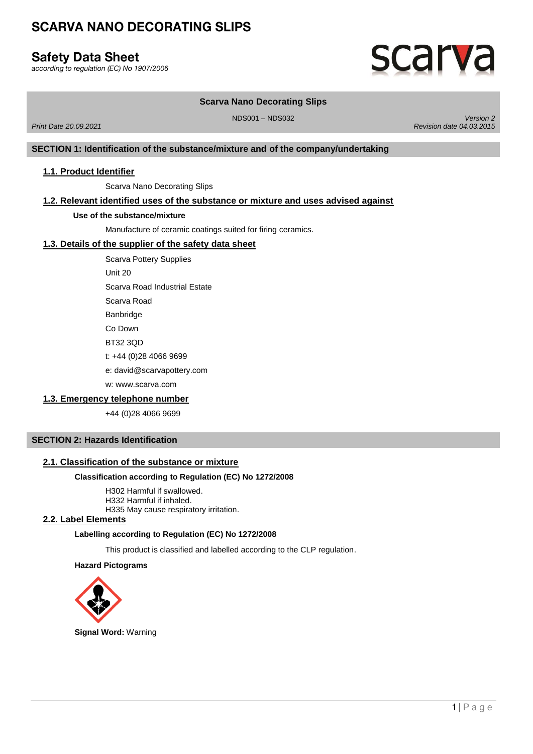# **Safety Data Sheet**

according to regulation (EC) No 1907/2006

# **SCarv**a

# **Scarva Nano Decorating Slips**

NDS001 – NDS032 *Version 2 Revision date 04.03.2015*

**SECTION 1: Identification of the substance/mixture and of the company/undertaking**

# **1.1. Product Identifier**

*Print Date 20.09.2021*

Scarva Nano Decorating Slips

# **1.2. Relevant identified uses of the substance or mixture and uses advised against**

#### **Use of the substance/mixture**

Manufacture of ceramic coatings suited for firing ceramics.

# **1.3. Details of the supplier of the safety data sheet**

Scarva Pottery Supplies

Unit 20

Scarva Road Industrial Estate

Scarva Road

**Banbridge** 

Co Down

BT32 3QD

t: +44 (0)28 4066 9699

e: david@scarvapottery.com

w: www.scarva.com

# **1.3. Emergency telephone number**

+44 (0)28 4066 9699

# **SECTION 2: Hazards Identification**

# **2.1. Classification of the substance or mixture**

# **Classification according to Regulation (EC) No 1272/2008**

H302 Harmful if swallowed. H332 Harmful if inhaled. H335 May cause respiratory irritation.

#### **2.2. Label Elements**

#### **Labelling according to Regulation (EC) No 1272/2008**

This product is classified and labelled according to the CLP regulation.

#### **Hazard Pictograms**

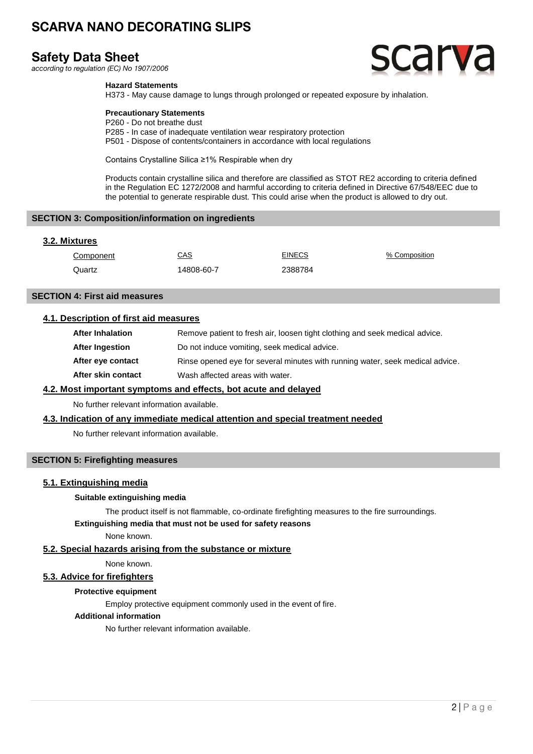# **Safety Data Sheet**

according to regulation (EC) No 1907/2006



### **Hazard Statements**

H373 - May cause damage to lungs through prolonged or repeated exposure by inhalation.

### **Precautionary Statements**

P260 - Do not breathe dust P285 - In case of inadequate ventilation wear respiratory protection P501 - Dispose of contents/containers in accordance with local regulations

Contains Crystalline Silica ≥1% Respirable when dry

Products contain crystalline silica and therefore are classified as STOT RE2 according to criteria defined in the Regulation EC 1272/2008 and harmful according to criteria defined in Directive 67/548/EEC due to the potential to generate respirable dust. This could arise when the product is allowed to dry out.

#### **SECTION 3: Composition/information on ingredients**

# **3.2. Mixtures**

| Component | CAS        | <b>EINECS</b> | % Composition |
|-----------|------------|---------------|---------------|
| Quartz    | 14808-60-7 | 2388784       |               |

#### **SECTION 4: First aid measures**

# **4.1. Description of first aid measures**

| <b>After Inhalation</b> | Remove patient to fresh air, loosen tight clothing and seek medical advice.   |
|-------------------------|-------------------------------------------------------------------------------|
| After Ingestion         | Do not induce vomiting, seek medical advice.                                  |
| After eye contact       | Rinse opened eye for several minutes with running water, seek medical advice. |
| After skin contact      | Wash affected areas with water.                                               |
|                         |                                                                               |

# **4.2. Most important symptoms and effects, bot acute and delayed**

No further relevant information available.

# **4.3. Indication of any immediate medical attention and special treatment needed**

No further relevant information available.

# **SECTION 5: Firefighting measures**

# **5.1. Extinguishing media**

#### **Suitable extinguishing media**

The product itself is not flammable, co-ordinate firefighting measures to the fire surroundings.

#### **Extinguishing media that must not be used for safety reasons**

None known.

# **5.2. Special hazards arising from the substance or mixture**

None known.

# **5.3. Advice for firefighters**

#### **Protective equipment**

Employ protective equipment commonly used in the event of fire.

#### **Additional information**

No further relevant information available.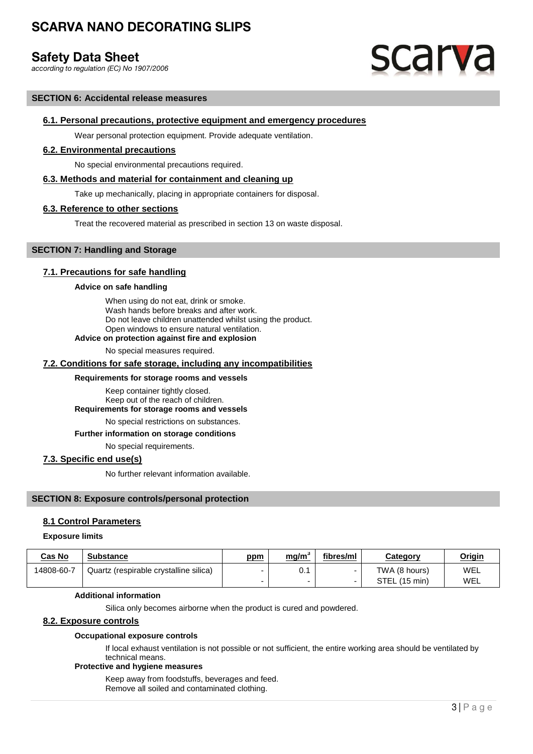# **Safety Data Sheet**

according to regulation (EC) No 1907/2006

# **scarva**

#### **SECTION 6: Accidental release measures**

#### **6.1. Personal precautions, protective equipment and emergency procedures**

Wear personal protection equipment. Provide adequate ventilation.

#### **6.2. Environmental precautions**

No special environmental precautions required.

#### **6.3. Methods and material for containment and cleaning up**

Take up mechanically, placing in appropriate containers for disposal.

### **6.3. Reference to other sections**

Treat the recovered material as prescribed in section 13 on waste disposal.

# **SECTION 7: Handling and Storage**

# **7.1. Precautions for safe handling**

#### **Advice on safe handling**

When using do not eat, drink or smoke. Wash hands before breaks and after work. Do not leave children unattended whilst using the product. Open windows to ensure natural ventilation.

#### **Advice on protection against fire and explosion**

No special measures required.

#### **7.2. Conditions for safe storage, including any incompatibilities**

#### **Requirements for storage rooms and vessels**

Keep container tightly closed. Keep out of the reach of children.

**Requirements for storage rooms and vessels**

No special restrictions on substances.

# **Further information on storage conditions**

No special requirements.

#### **7.3. Specific end use(s)**

No further relevant information available.

## **SECTION 8: Exposure controls/personal protection**

# **8.1 Control Parameters**

#### **Exposure limits**

| <b>Cas No</b> | <b>Substance</b>                       | ppm | <u>mg/m`</u> | fibres/ml | Categorv      | <u>Origin</u> |
|---------------|----------------------------------------|-----|--------------|-----------|---------------|---------------|
| 14808-60-7    | Quartz (respirable crystalline silica) |     | v. i         |           | TWA (8 hours) | WEL           |
|               |                                        |     |              |           | STEL (15 min) | WEL           |

#### **Additional information**

Silica only becomes airborne when the product is cured and powdered.

# **8.2. Exposure controls**

#### **Occupational exposure controls**

If local exhaust ventilation is not possible or not sufficient, the entire working area should be ventilated by technical means.

# **Protective and hygiene measures**

Keep away from foodstuffs, beverages and feed. Remove all soiled and contaminated clothing.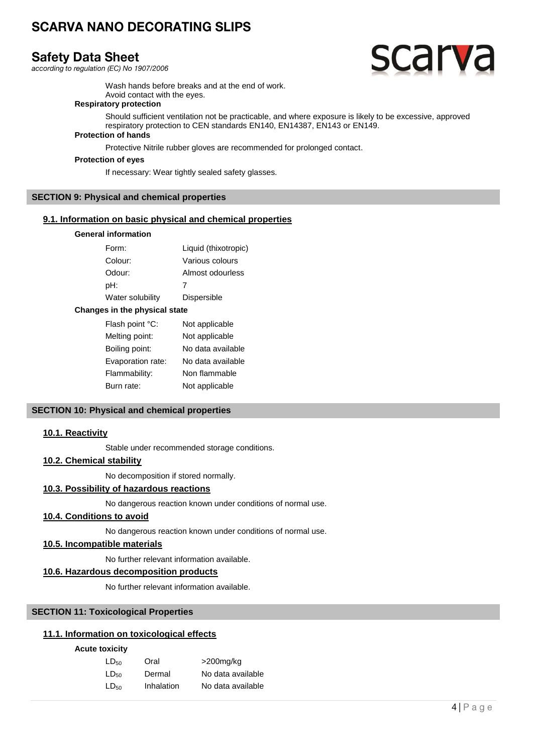# **Safety Data Sheet**

according to regulation (EC) No 1907/2006



Wash hands before breaks and at the end of work. Avoid contact with the eyes.

# **Respiratory protection**

Should sufficient ventilation not be practicable, and where exposure is likely to be excessive, approved respiratory protection to CEN standards EN140, EN14387, EN143 or EN149.

# **Protection of hands**

Protective Nitrile rubber gloves are recommended for prolonged contact.

#### **Protection of eyes**

If necessary: Wear tightly sealed safety glasses.

# **SECTION 9: Physical and chemical properties**

#### **9.1. Information on basic physical and chemical properties**

### **General information**

| Form:            | Liquid (thixotropic) |
|------------------|----------------------|
| Colour:          | Various colours      |
| Odour:           | Almost odourless     |
| pH:              | 7                    |
| Water solubility | <b>Dispersible</b>   |

#### **Changes in the physical state**

| Flash point °C:   | Not applicable    |
|-------------------|-------------------|
| Melting point:    | Not applicable    |
| Boiling point:    | No data available |
| Evaporation rate: | No data available |
| Flammability:     | Non flammable     |
| Burn rate:        | Not applicable    |

# **SECTION 10: Physical and chemical properties**

# **10.1. Reactivity**

Stable under recommended storage conditions.

# **10.2. Chemical stability**

No decomposition if stored normally.

# **10.3. Possibility of hazardous reactions**

No dangerous reaction known under conditions of normal use.

# **10.4. Conditions to avoid**

No dangerous reaction known under conditions of normal use.

# **10.5. Incompatible materials**

No further relevant information available.

# **10.6. Hazardous decomposition products**

No further relevant information available.

# **SECTION 11: Toxicological Properties**

# **11.1. Information on toxicological effects**

### **Acute toxicity**

| $LD_{50}$        | Oral       | $>$ 200 $mg/kg$   |
|------------------|------------|-------------------|
| LD <sub>50</sub> | Dermal     | No data available |
| LD <sub>50</sub> | Inhalation | No data available |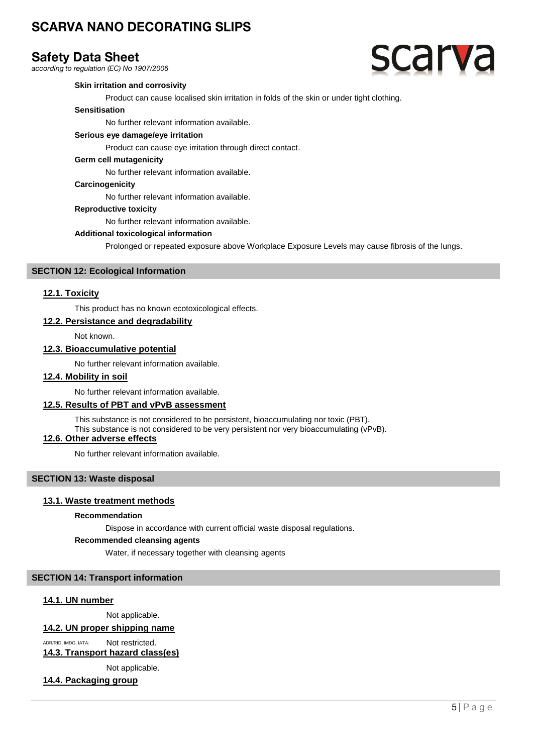# **Safety Data Sheet**

according to regulation (EC) No 1907/2006

# **scarva**

# **Skin irritation and corrosivity**

Product can cause localised skin irritation in folds of the skin or under tight clothing.

### **Sensitisation**

No further relevant information available.

### **Serious eye damage/eye irritation**

Product can cause eye irritation through direct contact.

#### **Germ cell mutagenicity**

No further relevant information available.

#### **Carcinogenicity**

No further relevant information available.

#### **Reproductive toxicity**

No further relevant information available.

#### **Additional toxicological information**

Prolonged or repeated exposure above Workplace Exposure Levels may cause fibrosis of the lungs.

#### **SECTION 12: Ecological Information**

#### **12.1. Toxicity**

This product has no known ecotoxicological effects.

#### **12.2. Persistance and degradability**

Not known.

# **12.3. Bioaccumulative potential**

No further relevant information available.

# **12.4. Mobility in soil**

No further relevant information available.

# **12.5. Results of PBT and vPvB assessment**

This substance is not considered to be persistent, bioaccumulating nor toxic (PBT).

This substance is not considered to be very persistent nor very bioaccumulating (vPvB).

# **12.6. Other adverse effects**

No further relevant information available.

# **SECTION 13: Waste disposal**

# **13.1. Waste treatment methods**

#### **Recommendation**

Dispose in accordance with current official waste disposal regulations.

#### **Recommended cleansing agents**

Water, if necessary together with cleansing agents

# **SECTION 14: Transport information**

#### **14.1. UN number**

Not applicable.

# **14.2. UN proper shipping name**

ADR/RID, IMDG, IATA: Not restricted. **14.3. Transport hazard class(es)**

Not applicable.

# **14.4. Packaging group**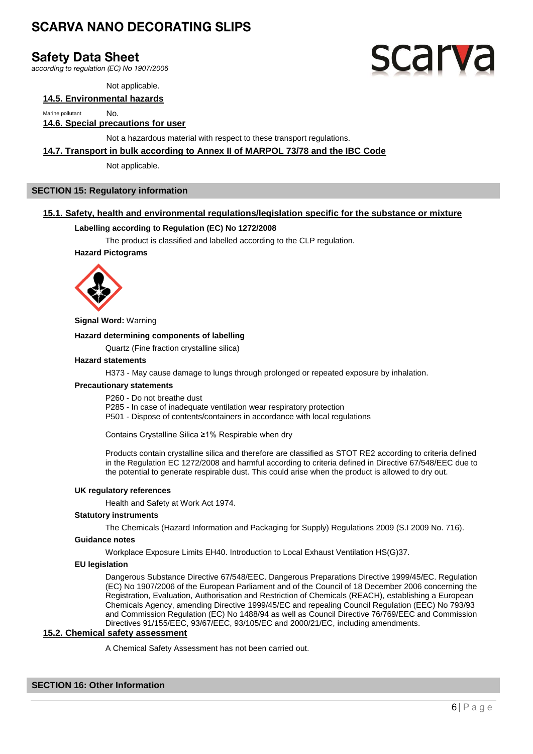# **Safety Data Sheet**

according to regulation (EC) No 1907/2006

Not applicable.

# **14.5. Environmental hazards**

Marine pollutant **No.** 

# **14.6. Special precautions for user**

Not a hazardous material with respect to these transport regulations.

#### **14.7. Transport in bulk according to Annex II of MARPOL 73/78 and the IBC Code**

Not applicable.

# **SECTION 15: Regulatory information**

# **15.1. Safety, health and environmental regulations/legislation specific for the substance or mixture**

#### **Labelling according to Regulation (EC) No 1272/2008**

The product is classified and labelled according to the CLP regulation.

#### **Hazard Pictograms**



**Signal Word:** Warning

#### **Hazard determining components of labelling**

Quartz (Fine fraction crystalline silica)

#### **Hazard statements**

H373 - May cause damage to lungs through prolonged or repeated exposure by inhalation.

#### **Precautionary statements**

P260 - Do not breathe dust

P285 - In case of inadequate ventilation wear respiratory protection

P501 - Dispose of contents/containers in accordance with local regulations

Contains Crystalline Silica ≥1% Respirable when dry

Products contain crystalline silica and therefore are classified as STOT RE2 according to criteria defined in the Regulation EC 1272/2008 and harmful according to criteria defined in Directive 67/548/EEC due to the potential to generate respirable dust. This could arise when the product is allowed to dry out.

#### **UK regulatory references**

Health and Safety at Work Act 1974.

#### **Statutory instruments**

The Chemicals (Hazard Information and Packaging for Supply) Regulations 2009 (S.I 2009 No. 716).

#### **Guidance notes**

Workplace Exposure Limits EH40. Introduction to Local Exhaust Ventilation HS(G)37.

#### **EU legislation**

Dangerous Substance Directive 67/548/EEC. Dangerous Preparations Directive 1999/45/EC. Regulation (EC) No 1907/2006 of the European Parliament and of the Council of 18 December 2006 concerning the Registration, Evaluation, Authorisation and Restriction of Chemicals (REACH), establishing a European Chemicals Agency, amending Directive 1999/45/EC and repealing Council Regulation (EEC) No 793/93 and Commission Regulation (EC) No 1488/94 as well as Council Directive 76/769/EEC and Commission Directives 91/155/EEC, 93/67/EEC, 93/105/EC and 2000/21/EC, including amendments.

#### **15.2. Chemical safety assessment**

A Chemical Safety Assessment has not been carried out.

# **SECTION 16: Other Information**

# scarv